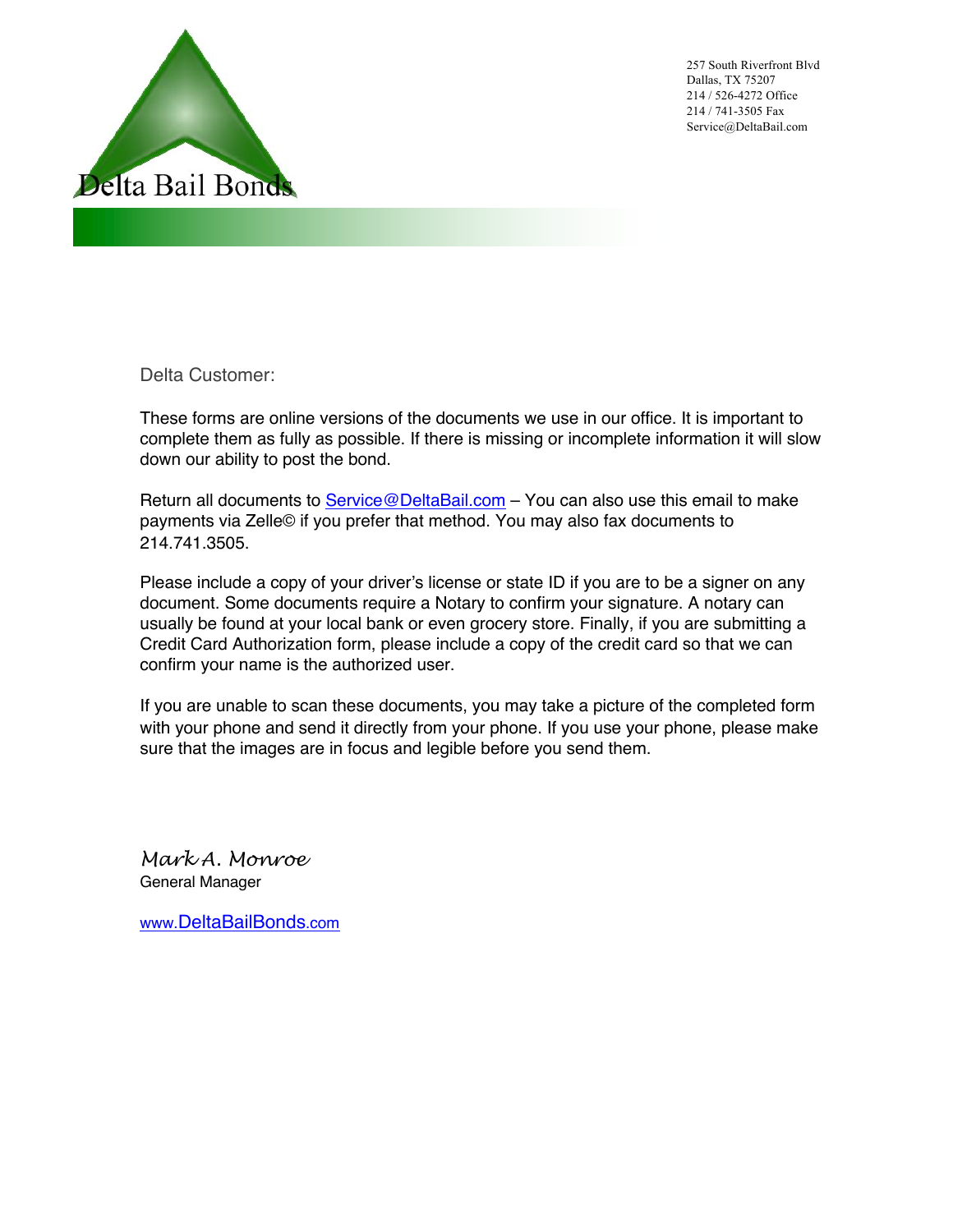

257 South Riverfront Blvd Dallas, TX 75207 214 / 526-4272 Office 214 / 741-3505 Fax Service@DeltaBail.com

Delta Customer:

These forms are online versions of the documents we use in our office. It is important to complete them as fully as possible. If there is missing or incomplete information it will slow down our ability to post the bond.

Return all documents to Service@DeltaBail.com - You can also use this email to make payments via Zelle© if you prefer that method. You may also fax documents to 214.741.3505.

Please include a copy of your driver's license or state ID if you are to be a signer on any document. Some documents require a Notary to confirm your signature. A notary can usually be found at your local bank or even grocery store. Finally, if you are submitting a Credit Card Authorization form, please include a copy of the credit card so that we can confirm your name is the authorized user.

If you are unable to scan these documents, you may take a picture of the completed form with your phone and send it directly from your phone. If you use your phone, please make sure that the images are in focus and legible before you send them.

*Mark A. Monroe*  General Manager

www.DeltaBailBonds.com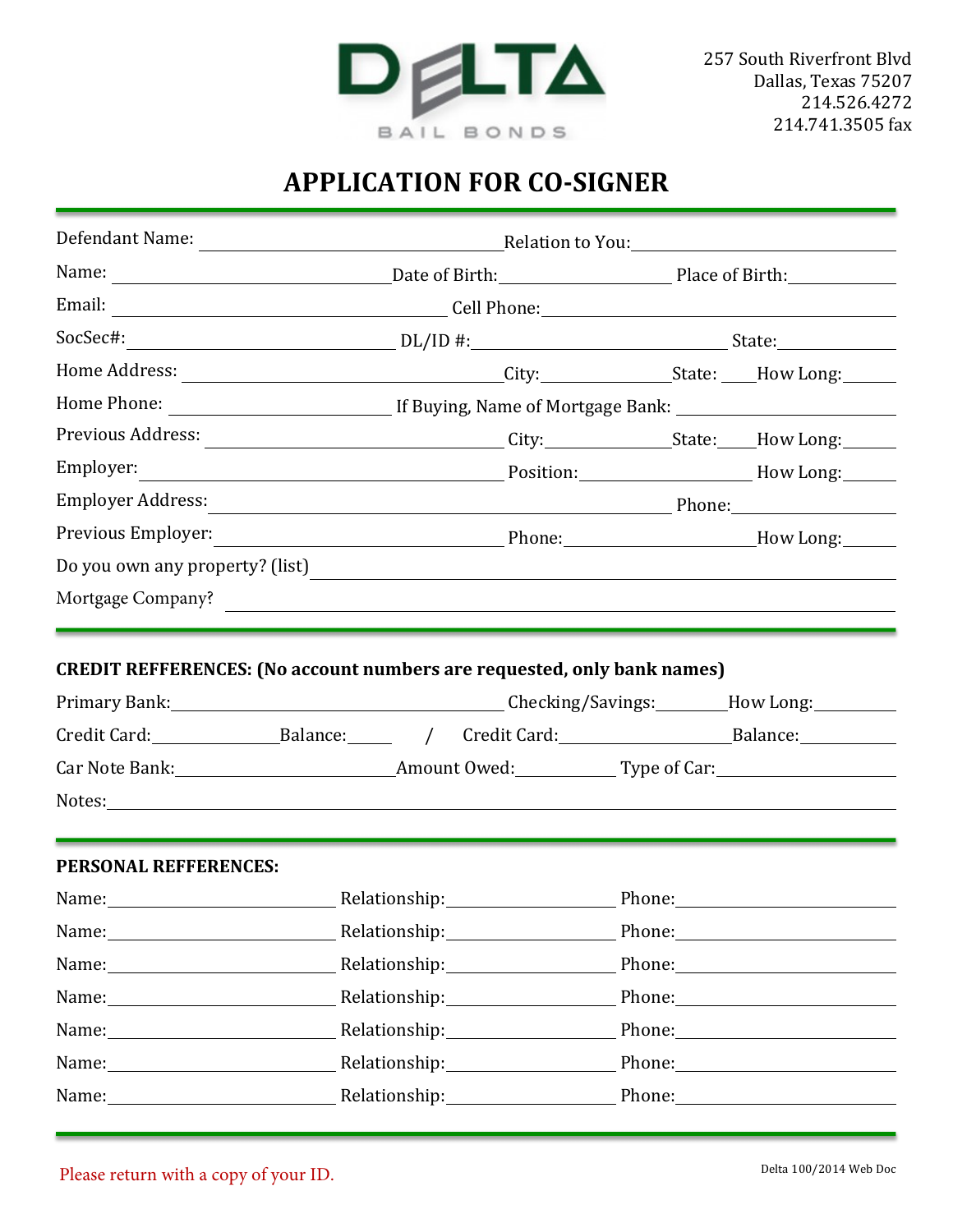

## **APPLICATION FOR CO-SIGNER**

| Previous Address:                                                                                              | <u>City: State: How Long:</u>                                                                                                                                                                                                                                                                                                                                                                                                                                                                                                                                                |  |  |                                                                                                                                                                                                                                |  |  |
|----------------------------------------------------------------------------------------------------------------|------------------------------------------------------------------------------------------------------------------------------------------------------------------------------------------------------------------------------------------------------------------------------------------------------------------------------------------------------------------------------------------------------------------------------------------------------------------------------------------------------------------------------------------------------------------------------|--|--|--------------------------------------------------------------------------------------------------------------------------------------------------------------------------------------------------------------------------------|--|--|
| Employer:                                                                                                      | Position: Maria How Long: Maria How Long:                                                                                                                                                                                                                                                                                                                                                                                                                                                                                                                                    |  |  |                                                                                                                                                                                                                                |  |  |
|                                                                                                                |                                                                                                                                                                                                                                                                                                                                                                                                                                                                                                                                                                              |  |  |                                                                                                                                                                                                                                |  |  |
|                                                                                                                |                                                                                                                                                                                                                                                                                                                                                                                                                                                                                                                                                                              |  |  |                                                                                                                                                                                                                                |  |  |
|                                                                                                                | Do you own any property? (list)                                                                                                                                                                                                                                                                                                                                                                                                                                                                                                                                              |  |  |                                                                                                                                                                                                                                |  |  |
|                                                                                                                | Mortgage Company?                                                                                                                                                                                                                                                                                                                                                                                                                                                                                                                                                            |  |  |                                                                                                                                                                                                                                |  |  |
|                                                                                                                | <b>CREDIT REFFERENCES: (No account numbers are requested, only bank names)</b><br>Primary Bank: Marian Checking/Savings: Mow Long: Marian Primary Bank: Marian Checking/Savings: Marian Primary<br>Credit Card: ______________________Balance: ________ / Credit Card: ________________________________Balance: __________________________<br>Notes: Notes: Notes: Notes: Notes: Notes: Notes: Notes: Notes: Notes: Notes: Notes: Notes: Notes: Notes: Notes: Notes: Notes: Notes: Notes: Notes: Notes: Notes: Notes: Notes: Notes: Notes: Notes: Notes: Notes: Notes: Notes |  |  |                                                                                                                                                                                                                                |  |  |
| PERSONAL REFFERENCES:                                                                                          |                                                                                                                                                                                                                                                                                                                                                                                                                                                                                                                                                                              |  |  |                                                                                                                                                                                                                                |  |  |
|                                                                                                                | Name: Name: Name: Name: Nelationship: Name: Name: Name: Name: Name: Name: Name: Name: Name: Name: Name: Name: Name: Name: Name: Name: Name: Name: Name: Name: Name: Name: Name: Name: Name: Name: Name: Name: Name: Name: Name                                                                                                                                                                                                                                                                                                                                               |  |  |                                                                                                                                                                                                                                |  |  |
|                                                                                                                | Name: Name: Name: Name: Nelationship: Name: Name: Name: Name: Name: Name: Name: Name: Name: Name: Name: Name: N                                                                                                                                                                                                                                                                                                                                                                                                                                                              |  |  | Phone: 2008 Phone:                                                                                                                                                                                                             |  |  |
|                                                                                                                | Relationship: \\square\\sqrt{\math{\math{\math{\math{\math{\math{\math{\math{\math{\math{\math{\math{\math{\math{\math{\math{\math{\math{\math{\math{\math{\math{\math{\math{\math{\math{\math{\math{\math{\math{\math{\math{\                                                                                                                                                                                                                                                                                                                                               |  |  | Phone: 2008 Phone: 2008 Phone: 2008 Phone: 2008 Phone: 2008 Phone: 2008 Phone: 2008 Phone: 2008 Phone: 2008 Phone: 2008 Phone: 2008 Phone: 2008 Phone: 2008 Phone: 2008 Phone: 2008 Phone: 2008 Phone: 2008 Phone: 2008 Phone: |  |  |
|                                                                                                                | Name: Name: Name: Nelationship: Nelationship: Phone: Name: Name: Name: Name: Name: Name: Name: Name is not not                                                                                                                                                                                                                                                                                                                                                                                                                                                               |  |  |                                                                                                                                                                                                                                |  |  |
| Name: Name and Allen and Allen and Allen and Allen and Allen and Allen and Allen and Allen and Allen and Allen |                                                                                                                                                                                                                                                                                                                                                                                                                                                                                                                                                                              |  |  | Phone: 2008 Phone: 2008 Phone: 2008 Phone: 2008 Phone: 2008 Phone: 2008 Phone: 2008 Phone: 2008 Phone: 2008 Phone: 2008 Phone: 2008 Phone: 2008 Phone: 2008 Phone: 2008 Phone: 2008 Phone: 2008 Phone: 2008 Phone: 2008 Phone: |  |  |
|                                                                                                                | Name: Name: Name: Nelationship: Name: Name: Name: Name: Name: Name: Name: Name: Name: Name: Name: Name: Name: N                                                                                                                                                                                                                                                                                                                                                                                                                                                              |  |  |                                                                                                                                                                                                                                |  |  |
|                                                                                                                | Name: Name: Name: Nelationship: Name: Nelationship: Name: Name: Name: Name: Name: Name: Name: Name: Name: Name                                                                                                                                                                                                                                                                                                                                                                                                                                                               |  |  |                                                                                                                                                                                                                                |  |  |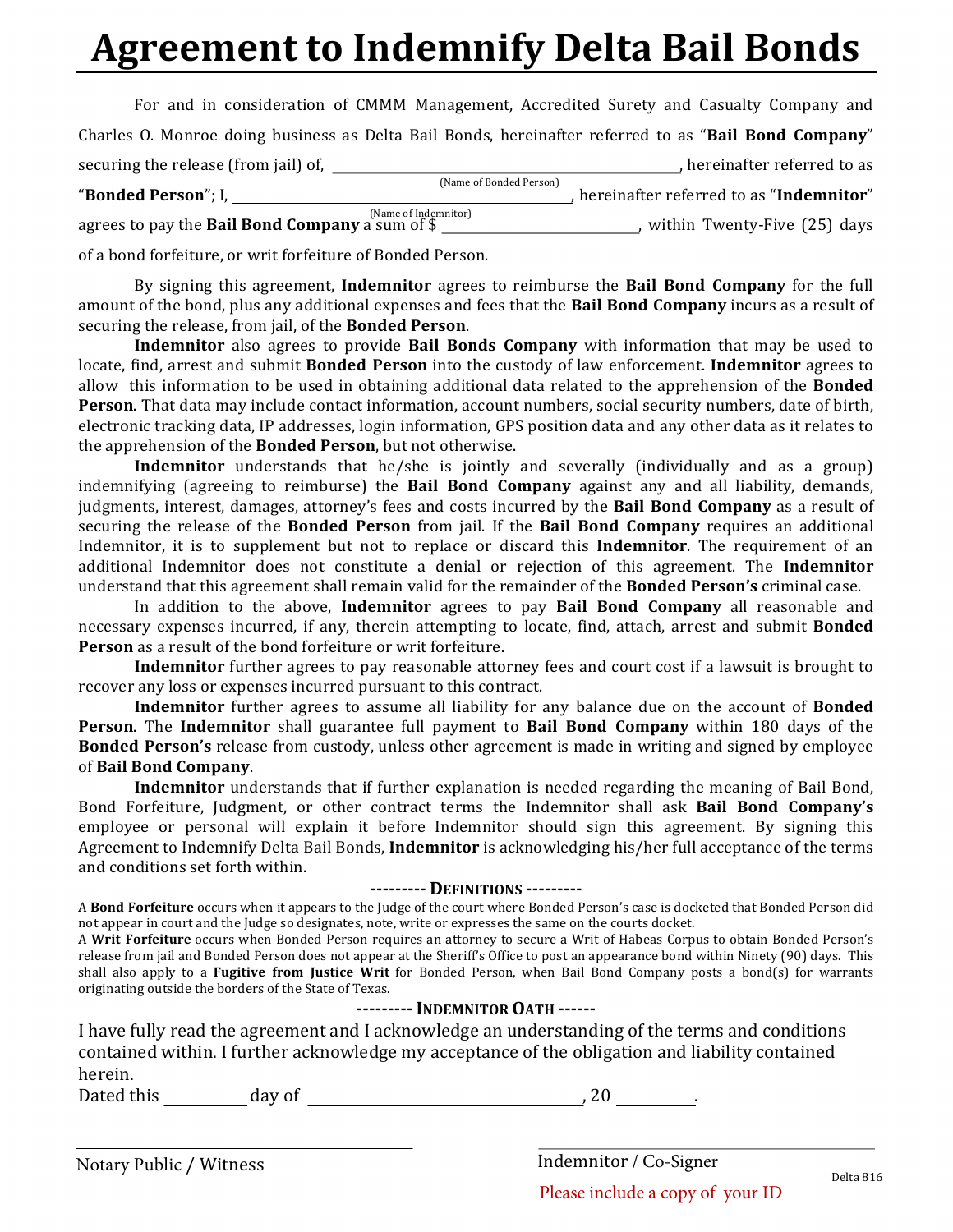# **Agreement to Indemnify Delta Bail Bonds**

| For and in consideration of CMMM Management, Accredited Surety and Casualty Company and              |                                         |
|------------------------------------------------------------------------------------------------------|-----------------------------------------|
| Charles O. Monroe doing business as Delta Bail Bonds, hereinafter referred to as "Bail Bond Company" |                                         |
| securing the release (from jail) of,                                                                 | , hereinafter referred to as            |
| (Name of Bonded Person)<br>"Bonded Person"; I,                                                       | hereinafter referred to as "Indemnitor" |
| agrees to pay the <b>Bail Bond Company</b> a sum of \$                                               | within Twenty-Five (25) days            |

of a bond forfeiture, or writ forfeiture of Bonded Person.

By signing this agreement, **Indemnitor** agrees to reimburse the **Bail Bond Company** for the full amount of the bond, plus any additional expenses and fees that the **Bail Bond Company** incurs as a result of securing the release, from jail, of the **Bonded Person**.

**Indemnitor** also agrees to provide **Bail Bonds Company** with information that may be used to locate, find, arrest and submit **Bonded Person** into the custody of law enforcement. **Indemnitor** agrees to allow this information to be used in obtaining additional data related to the apprehension of the **Bonded Person**. That data may include contact information, account numbers, social security numbers, date of birth, electronic tracking data, IP addresses, login information, GPS position data and any other data as it relates to the apprehension of the **Bonded Person**, but not otherwise.

**Indemnitor** understands that he/she is jointly and severally (individually and as a group) indemnifying (agreeing to reimburse) the **Bail Bond Company** against any and all liability, demands, judgments, interest, damages, attorney's fees and costs incurred by the **Bail Bond Company** as a result of securing the release of the **Bonded Person** from jail. If the **Bail Bond Company** requires an additional Indemnitor, it is to supplement but not to replace or discard this **Indemnitor**. The requirement of an additional Indemnitor does not constitute a denial or rejection of this agreement. The Indemnitor understand that this agreement shall remain valid for the remainder of the **Bonded Person's** criminal case.

In addition to the above, **Indemnitor** agrees to pay **Bail Bond Company** all reasonable and necessary expenses incurred, if any, therein attempting to locate, find, attach, arrest and submit **Bonded Person** as a result of the bond forfeiture or writ forfeiture.

**Indemnitor** further agrees to pay reasonable attorney fees and court cost if a lawsuit is brought to recover any loss or expenses incurred pursuant to this contract.

**Indemnitor** further agrees to assume all liability for any balance due on the account of **Bonded Person**. The **Indemnitor** shall guarantee full payment to Bail Bond Company within 180 days of the **Bonded Person's** release from custody, unless other agreement is made in writing and signed by employee of **Bail Bond Company**. 

**Indemnitor** understands that if further explanation is needed regarding the meaning of Bail Bond, Bond Forfeiture, Judgment, or other contract terms the Indemnitor shall ask Bail Bond Company's employee or personal will explain it before Indemnitor should sign this agreement. By signing this Agreement to Indemnify Delta Bail Bonds, *Indemnitor* is acknowledging his/her full acceptance of the terms and conditions set forth within.

#### **--------- DEFINITIONS ---------**

A Bond Forfeiture occurs when it appears to the Judge of the court where Bonded Person's case is docketed that Bonded Person did not appear in court and the Judge so designates, note, write or expresses the same on the courts docket.

A Writ Forfeiture occurs when Bonded Person requires an attorney to secure a Writ of Habeas Corpus to obtain Bonded Person's release from jail and Bonded Person does not appear at the Sheriff's Office to post an appearance bond within Ninety (90) days. This shall also apply to a **Fugitive from Justice Writ** for Bonded Person, when Bail Bond Company posts a bond(s) for warrants originating outside the borders of the State of Texas.

#### **---------INDEMNITOR OATH ------**

I have fully read the agreement and I acknowledge an understanding of the terms and conditions contained within. I further acknowledge my acceptance of the obligation and liability contained herein.

Dated this  $\qquad \qquad \text{day of}$  , 20  $\qquad \qquad$ 

Notary Public / Witness Indemnitor / Co-Signer

Delta 816

Please include a copy of your ID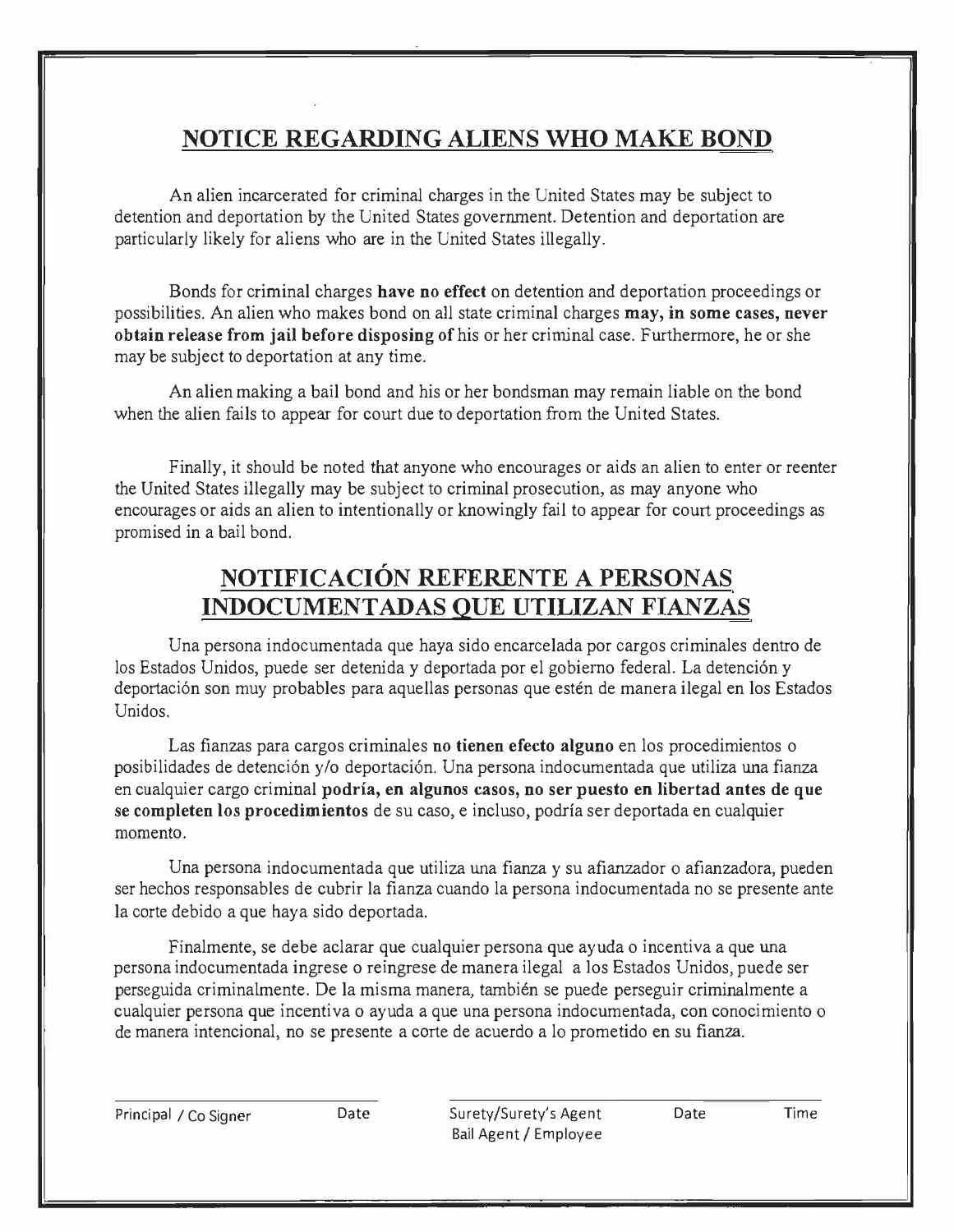### **NOTICE REGARDING ALIENS WHO MAKE BOND**

An alien incarcerated for criminal charges in the United States may be subject to detention and deportation by the United States government. Detention and deportation are particularly likely for aliens who are in the United States illegally.

Bonds for criminal charges **have no effect** on detention and deportation proceedings or possibilities. An alien who makes bond on all state criminal charges **may, in some cases, never obtain release from jail before disposing of** his or her criminal case. Furthermore, he or she may be subject to deportation at any time.

An alien making a bail bond and his or her bondsman may remain liable on the bond when the alien fails to appear for court due to deportation from the United States.

Finally, it should be noted that anyone who encourages or aids an alien to enter or reenter the United States illegally may be subject to criminal prosecution, as may anyone who encourages or aids an alien to intentionally or knowingly fail to appear for court proceedings as promised in a bail bond.

### **NOTIFICACION REFERENTE A PERSONAS INDOCUMENTADAS QUE UTILIZAN FIANZAS**

Una persona indocumentada que haya sido encarcelada por cargos criminales dentro de los Estados Unidos, puede ser detenida y deportada por el gobierno federal. La detención y deportaci6n son muy probables para aquellas personas que esten de manera ilegal en los Estados Unidos.

Las fianzas para cargos criminales **no tienen efecto alguno** en los procedimientos o posibilidades de detención y/o deportación. Una persona indocumentada que utiliza una fianza en cualquier cargo criminal **podria, en algunos casos, no ser puesto en libertad antes de que se completen los procedimientos** de su caso, e incluso, podria ser deportada en cualquier momenta.

Una persona indocumentada que utiliza una fianza y su afianzador o afianzadora, pueden ser hechos responsables de cubrir la fianza cuando la persona indocumentada no se presente ante la corte debido a que hay a sido deportada.

Finalmente, se debe aclarar que cualquier persona que ayuda o incentiva a que una persona indocumentada ingrese o reingrese de manera ilegal a los Estados Unidos, puede ser perseguida criminalmente. De la misma manera, tambien se puede perseguir criminalmente a cualquier persona que incentiva o ayuda a que una persona indocumentada, con conocimiento o de manera intencional, no se presente a carte de acuerdo a lo prometido en su fianza.

Principal / Co Signer Date Surety/Surety's Agent Date Time Bail Agent / Employee